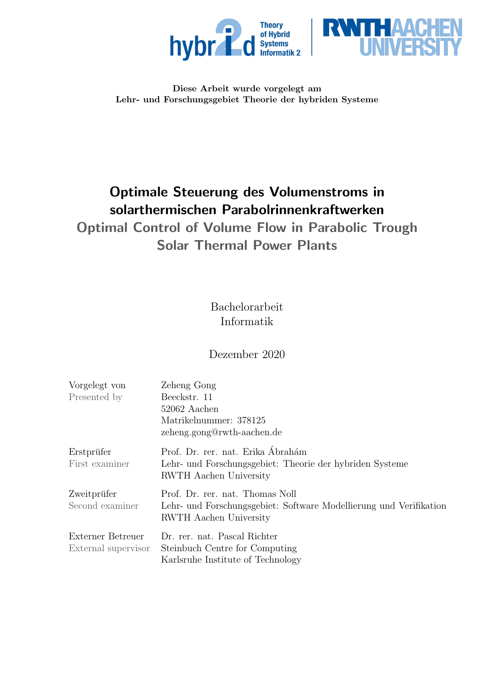



### Diese Arbeit wurde vorgelegt am Lehr- und Forschungsgebiet Theorie der hybriden Systeme

# Optimale Steuerung des Volumenstroms in solarthermischen Parabolrinnenkraftwerken

# Optimal Control of Volume Flow in Parabolic Trough Solar Thermal Power Plants

# Bachelorarbeit Informatik

# Dezember 2020

| Vorgelegt von       | Zeheng Gong                                                        |
|---------------------|--------------------------------------------------------------------|
| Presented by        | Beeckstr. 11                                                       |
|                     | 52062 Aachen                                                       |
|                     | Matrikelnummer: 378125                                             |
|                     | zeheng.gong@rwth-aachen.de                                         |
| Erstprüfer          | Prof. Dr. rer. nat. Erika Ábrahám                                  |
| First examiner      | Lehr- und Forschungsgebiet: Theorie der hybriden Systeme           |
|                     | <b>RWTH</b> Aachen University                                      |
| Zweitprüfer         | Prof. Dr. rer. nat. Thomas Noll                                    |
| Second examiner     | Lehr- und Forschungsgebiet: Software Modellierung und Verifikation |
|                     | RWTH Aachen University                                             |
| Externer Betreuer   | Dr. rer. nat. Pascal Richter                                       |
| External supervisor | Steinbuch Centre for Computing                                     |
|                     | Karlsruhe Institute of Technology                                  |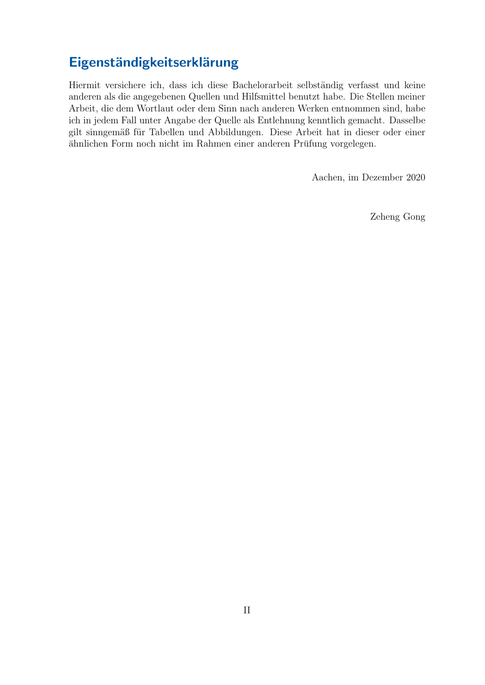# Eigenständigkeitserklärung

Hiermit versichere ich, dass ich diese Bachelorarbeit selbständig verfasst und keine anderen als die angegebenen Quellen und Hilfsmittel benutzt habe. Die Stellen meiner Arbeit, die dem Wortlaut oder dem Sinn nach anderen Werken entnommen sind, habe ich in jedem Fall unter Angabe der Quelle als Entlehnung kenntlich gemacht. Dasselbe gilt sinngemäß für Tabellen und Abbildungen. Diese Arbeit hat in dieser oder einer ähnlichen Form noch nicht im Rahmen einer anderen Prüfung vorgelegen.

Aachen, im Dezember 2020

Zeheng Gong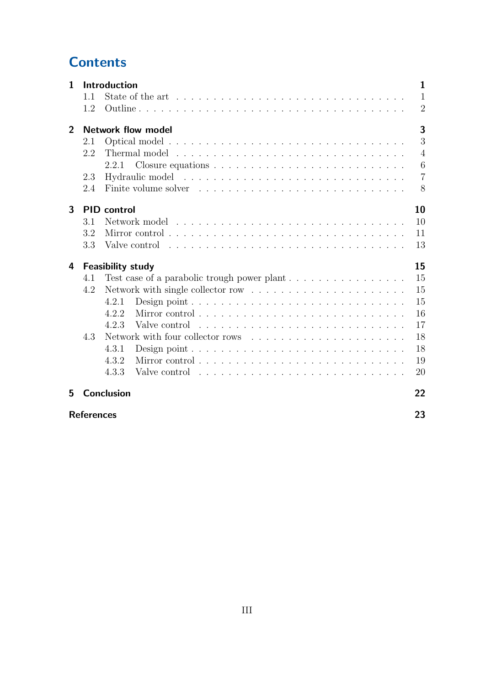# **Contents**

|     |                                                                                                                                                                                                                                         | 1                                                                                                                |
|-----|-----------------------------------------------------------------------------------------------------------------------------------------------------------------------------------------------------------------------------------------|------------------------------------------------------------------------------------------------------------------|
| 1.1 | State of the art $\dots \dots \dots \dots \dots \dots \dots \dots \dots \dots \dots \dots$                                                                                                                                              | 1                                                                                                                |
| 1.2 |                                                                                                                                                                                                                                         | $\overline{2}$                                                                                                   |
|     |                                                                                                                                                                                                                                         | 3                                                                                                                |
| 2.1 |                                                                                                                                                                                                                                         | 3                                                                                                                |
| 2.2 |                                                                                                                                                                                                                                         | $\overline{4}$                                                                                                   |
|     | 2.2.1                                                                                                                                                                                                                                   | 6                                                                                                                |
| 2.3 |                                                                                                                                                                                                                                         | $\overline{7}$                                                                                                   |
| 2.4 |                                                                                                                                                                                                                                         | 8                                                                                                                |
|     |                                                                                                                                                                                                                                         | 10                                                                                                               |
| 3.1 |                                                                                                                                                                                                                                         | 10                                                                                                               |
| 3.2 |                                                                                                                                                                                                                                         | 11                                                                                                               |
| 3.3 |                                                                                                                                                                                                                                         | 13                                                                                                               |
|     |                                                                                                                                                                                                                                         | 15                                                                                                               |
| 4.1 |                                                                                                                                                                                                                                         | 15                                                                                                               |
| 4.2 | Network with single collector row $\dots \dots \dots \dots \dots \dots \dots$                                                                                                                                                           | 15                                                                                                               |
|     | 4.2.1                                                                                                                                                                                                                                   | 15                                                                                                               |
|     | 4.2.2                                                                                                                                                                                                                                   | 16                                                                                                               |
|     | Valve control response response response response response response response response response response response response response response response response response response response response response response response r<br>4.2.3 | 17                                                                                                               |
| 4.3 | Network with four collector rows                                                                                                                                                                                                        | 18                                                                                                               |
|     | 4.3.1                                                                                                                                                                                                                                   | 18                                                                                                               |
|     | 4.3.2                                                                                                                                                                                                                                   | 19                                                                                                               |
|     | 4.3.3<br>Valve control response in the contract in the control of the contract in the contract of the contract of the contract of the contract of the contract of the contract of the contract of the contract of the contract of the c | 20                                                                                                               |
|     |                                                                                                                                                                                                                                         | 22                                                                                                               |
|     |                                                                                                                                                                                                                                         | Introduction<br><b>Network flow model</b><br><b>PID</b> control<br><b>Feasibility study</b><br><b>Conclusion</b> |

### [References](#page-25-0) 23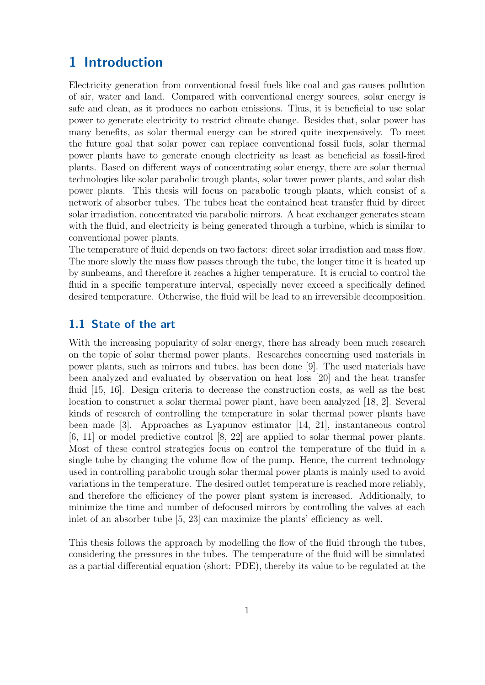# <span id="page-3-0"></span>1 Introduction

Electricity generation from conventional fossil fuels like coal and gas causes pollution of air, water and land. Compared with conventional energy sources, solar energy is safe and clean, as it produces no carbon emissions. Thus, it is beneficial to use solar power to generate electricity to restrict climate change. Besides that, solar power has many benefits, as solar thermal energy can be stored quite inexpensively. To meet the future goal that solar power can replace conventional fossil fuels, solar thermal power plants have to generate enough electricity as least as beneficial as fossil-fired plants. Based on different ways of concentrating solar energy, there are solar thermal technologies like solar parabolic trough plants, solar tower power plants, and solar dish power plants. This thesis will focus on parabolic trough plants, which consist of a network of absorber tubes. The tubes heat the contained heat transfer fluid by direct solar irradiation, concentrated via parabolic mirrors. A heat exchanger generates steam with the fluid, and electricity is being generated through a turbine, which is similar to conventional power plants.

The temperature of fluid depends on two factors: direct solar irradiation and mass flow. The more slowly the mass flow passes through the tube, the longer time it is heated up by sunbeams, and therefore it reaches a higher temperature. It is crucial to control the fluid in a specific temperature interval, especially never exceed a specifically defined desired temperature. Otherwise, the fluid will be lead to an irreversible decomposition.

### <span id="page-3-1"></span>1.1 State of the art

With the increasing popularity of solar energy, there has already been much research on the topic of solar thermal power plants. Researches concerning used materials in power plants, such as mirrors and tubes, has been done [\[9\]](#page-25-1). The used materials have been analyzed and evaluated by observation on heat loss [\[20\]](#page-26-0) and the heat transfer fluid [\[15,](#page-26-1) [16\]](#page-26-2). Design criteria to decrease the construction costs, as well as the best location to construct a solar thermal power plant, have been analyzed [\[18,](#page-26-3) [2\]](#page-25-2). Several kinds of research of controlling the temperature in solar thermal power plants have been made [\[3\]](#page-25-3). Approaches as Lyapunov estimator [\[14,](#page-26-4) [21\]](#page-26-5), instantaneous control [\[6,](#page-25-4) [11\]](#page-25-5) or model predictive control [\[8,](#page-25-6) [22\]](#page-26-6) are applied to solar thermal power plants. Most of these control strategies focus on control the temperature of the fluid in a single tube by changing the volume flow of the pump. Hence, the current technology used in controlling parabolic trough solar thermal power plants is mainly used to avoid variations in the temperature. The desired outlet temperature is reached more reliably, and therefore the efficiency of the power plant system is increased. Additionally, to minimize the time and number of defocused mirrors by controlling the valves at each inlet of an absorber tube [\[5,](#page-25-7) [23\]](#page-26-7) can maximize the plants' efficiency as well.

This thesis follows the approach by modelling the flow of the fluid through the tubes, considering the pressures in the tubes. The temperature of the fluid will be simulated as a partial differential equation (short: PDE), thereby its value to be regulated at the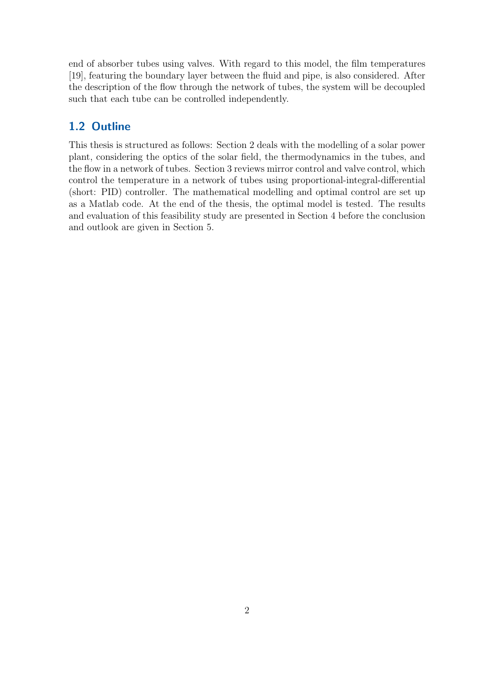end of absorber tubes using valves. With regard to this model, the film temperatures [\[19\]](#page-26-8), featuring the boundary layer between the fluid and pipe, is also considered. After the description of the flow through the network of tubes, the system will be decoupled such that each tube can be controlled independently.

### <span id="page-4-0"></span>1.2 Outline

This thesis is structured as follows: Section 2 deals with the modelling of a solar power plant, considering the optics of the solar field, the thermodynamics in the tubes, and the flow in a network of tubes. Section 3 reviews mirror control and valve control, which control the temperature in a network of tubes using proportional-integral-differential (short: PID) controller. The mathematical modelling and optimal control are set up as a Matlab code. At the end of the thesis, the optimal model is tested. The results and evaluation of this feasibility study are presented in Section 4 before the conclusion and outlook are given in Section 5.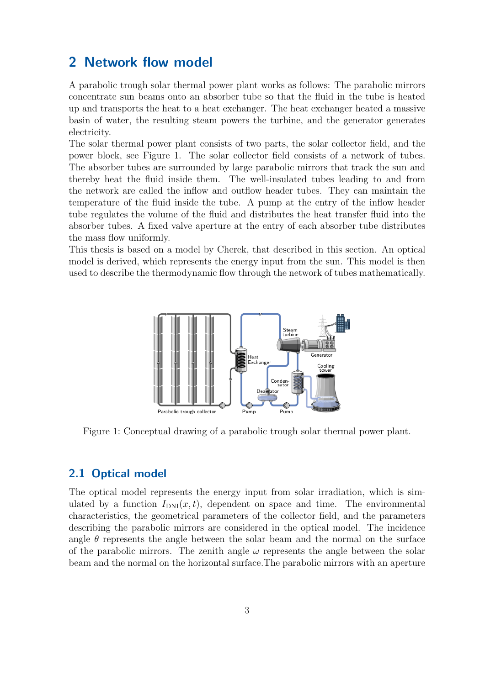## <span id="page-5-0"></span>2 Network flow model

A parabolic trough solar thermal power plant works as follows: The parabolic mirrors concentrate sun beams onto an absorber tube so that the fluid in the tube is heated up and transports the heat to a heat exchanger. The heat exchanger heated a massive basin of water, the resulting steam powers the turbine, and the generator generates electricity.

The solar thermal power plant consists of two parts, the solar collector field, and the power block, see Figure [1.](#page-5-2) The solar collector field consists of a network of tubes. The absorber tubes are surrounded by large parabolic mirrors that track the sun and thereby heat the fluid inside them. The well-insulated tubes leading to and from the network are called the inflow and outflow header tubes. They can maintain the temperature of the fluid inside the tube. A pump at the entry of the inflow header tube regulates the volume of the fluid and distributes the heat transfer fluid into the absorber tubes. A fixed valve aperture at the entry of each absorber tube distributes the mass flow uniformly.

<span id="page-5-2"></span>This thesis is based on a model by Cherek, that described in this section. An optical model is derived, which represents the energy input from the sun. This model is then used to describe the thermodynamic flow through the network of tubes mathematically.



Figure 1: Conceptual drawing of a parabolic trough solar thermal power plant.

#### <span id="page-5-1"></span>2.1 Optical model

The optical model represents the energy input from solar irradiation, which is simulated by a function  $I_{\text{DNI}}(x, t)$ , dependent on space and time. The environmental characteristics, the geometrical parameters of the collector field, and the parameters describing the parabolic mirrors are considered in the optical model. The incidence angle  $\theta$  represents the angle between the solar beam and the normal on the surface of the parabolic mirrors. The zenith angle  $\omega$  represents the angle between the solar beam and the normal on the horizontal surface.The parabolic mirrors with an aperture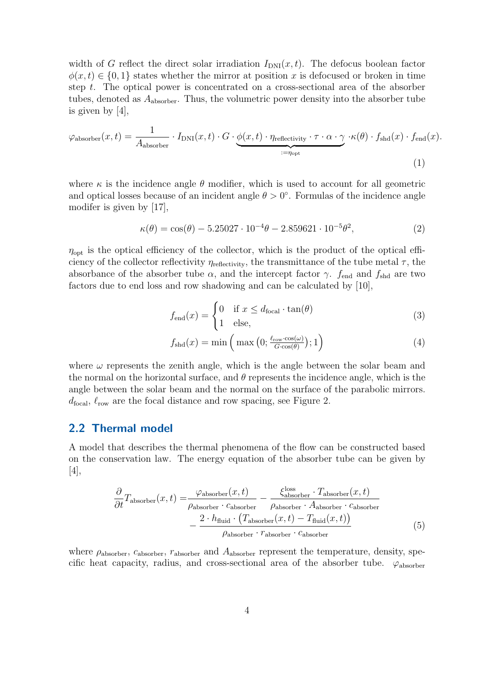width of G reflect the direct solar irradiation  $I_{\text{DNI}}(x, t)$ . The defocus boolean factor  $\phi(x, t) \in \{0, 1\}$  states whether the mirror at position x is defocused or broken in time step t. The optical power is concentrated on a cross-sectional area of the absorber tubes, denoted as  $A_{\text{absorber}}$ . Thus, the volumetric power density into the absorber tube is given by [\[4\]](#page-25-8),

$$
\varphi_{\text{absorber}}(x,t) = \frac{1}{A_{\text{absorber}}} \cdot I_{\text{DNI}}(x,t) \cdot G \cdot \underbrace{\phi(x,t) \cdot \eta_{\text{reflectivity}} \cdot \tau \cdot \alpha \cdot \gamma}_{:=\eta_{\text{opt}}} \cdot \kappa(\theta) \cdot f_{\text{shd}}(x) \cdot f_{\text{end}}(x). \tag{1}
$$

where  $\kappa$  is the incidence angle  $\theta$  modifier, which is used to account for all geometric and optical losses because of an incident angle  $\theta > 0^{\circ}$ . Formulas of the incidence angle modifer is given by [\[17\]](#page-26-9),

$$
\kappa(\theta) = \cos(\theta) - 5.25027 \cdot 10^{-4}\theta - 2.859621 \cdot 10^{-5}\theta^2,\tag{2}
$$

 $\eta_{\text{opt}}$  is the optical efficiency of the collector, which is the product of the optical efficiency of the collector reflectivity  $\eta_{\text{reflectivity}}$ , the transmittance of the tube metal  $\tau$ , the absorbance of the absorber tube  $\alpha$ , and the intercept factor  $\gamma$ .  $f_{\text{end}}$  and  $f_{\text{shd}}$  are two factors due to end loss and row shadowing and can be calculated by [\[10\]](#page-25-9),

$$
f_{\text{end}}(x) = \begin{cases} 0 & \text{if } x \le d_{\text{focal}} \cdot \tan(\theta) \\ 1 & \text{else,} \end{cases}
$$
 (3)

$$
f_{\text{shd}}(x) = \min\left(\max\left(0; \frac{\ell_{\text{row}} \cdot \cos(\omega)}{G \cdot \cos(\theta)}\right); 1\right) \tag{4}
$$

where  $\omega$  represents the zenith angle, which is the angle between the solar beam and the normal on the horizontal surface, and  $\theta$  represents the incidence angle, which is the angle between the solar beam and the normal on the surface of the parabolic mirrors.  $d_{\text{focal}}$ ,  $\ell_{\text{row}}$  are the focal distance and row spacing, see Figure [2.](#page-7-0)

#### <span id="page-6-0"></span>2.2 Thermal model

A model that describes the thermal phenomena of the flow can be constructed based on the conservation law. The energy equation of the absorber tube can be given by [\[4\]](#page-25-8),

<span id="page-6-1"></span>
$$
\frac{\partial}{\partial t}T_{\text{absorber}}(x,t) = \frac{\varphi_{\text{absorber}}(x,t)}{\rho_{\text{absorber}} \cdot c_{\text{absorber}}} - \frac{\zeta_{\text{absorber}}^{\text{loss}} \cdot T_{\text{absorber}}(x,t)}{\rho_{\text{absorber}} \cdot A_{\text{absorber}} \cdot c_{\text{absorber}}}
$$
\n
$$
-\frac{2 \cdot h_{\text{fluid}} \cdot (T_{\text{absorber}}(x,t) - T_{\text{fluid}}(x,t))}{\rho_{\text{absorber}} \cdot r_{\text{absorber}} \cdot c_{\text{absorber}}}
$$
\n(5)

where  $\rho_{\text{absorber}}$ ,  $c_{\text{absorber}}$ ,  $r_{\text{absorber}}$  and  $A_{\text{absorber}}$  represent the temperature, density, specific heat capacity, radius, and cross-sectional area of the absorber tube.  $\varphi_{\text{absorber}}$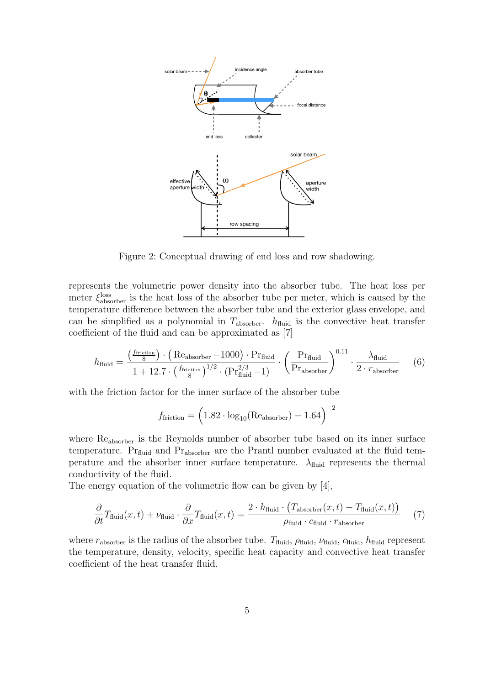<span id="page-7-0"></span>

Figure 2: Conceptual drawing of end loss and row shadowing.

represents the volumetric power density into the absorber tube. The heat loss per meter  $\xi_{\text{absorber}}^{\text{loss}}$  is the heat loss of the absorber tube per meter, which is caused by the temperature difference between the absorber tube and the exterior glass envelope, and can be simplified as a polynomial in  $T_{\text{absorber}}$ .  $h_{\text{fluid}}$  is the convective heat transfer coefficient of the fluid and can be approximated as [\[7\]](#page-25-10)

$$
h_{\text{fluid}} = \frac{\left(\frac{f_{\text{friction}}}{8}\right) \cdot \left(\text{Re}_{\text{absorber}} - 1000\right) \cdot \text{Pr}_{\text{fluid}}}{1 + 12.7 \cdot \left(\frac{f_{\text{friction}}}{8}\right)^{1/2} \cdot \left(\text{Pr}_{\text{fluid}}^{2/3} - 1\right)} \cdot \left(\frac{\text{Pr}_{\text{fluid}}}{\text{Pr}_{\text{absorber}}}\right)^{0.11} \cdot \frac{\lambda_{\text{fluid}}}{2 \cdot r_{\text{absorber}}}
$$
(6)

with the friction factor for the inner surface of the absorber tube

<span id="page-7-1"></span>
$$
f_{\text{friction}} = \left(1.82 \cdot \log_{10}(\text{Re}_{\text{absorber}}) - 1.64\right)^{-2}
$$

where  $Re<sub>absorber</sub>$  is the Reynolds number of absorber tube based on its inner surface temperature.  $Pr_{fluid}$  and  $Pr_{absorber}$  are the Prantl number evaluated at the fluid temperature and the absorber inner surface temperature.  $\lambda_{\text{fluid}}$  represents the thermal conductivity of the fluid.

The energy equation of the volumetric flow can be given by [\[4\]](#page-25-8),

$$
\frac{\partial}{\partial t}T_{\text{fluid}}(x,t) + \nu_{\text{fluid}} \cdot \frac{\partial}{\partial x}T_{\text{fluid}}(x,t) = \frac{2 \cdot h_{\text{fluid}} \cdot (T_{\text{absorber}}(x,t) - T_{\text{fluid}}(x,t))}{\rho_{\text{fluid}} \cdot c_{\text{fluid}} \cdot r_{\text{absorber}}}
$$
(7)

where  $r_{\text{absorber}}$  is the radius of the absorber tube.  $T_{\text{fluid}}$ ,  $\rho_{\text{fluid}}$ ,  $\nu_{\text{fluid}}$ ,  $c_{\text{fluid}}$ ,  $h_{\text{fluid}}$  represent the temperature, density, velocity, specific heat capacity and convective heat transfer coefficient of the heat transfer fluid.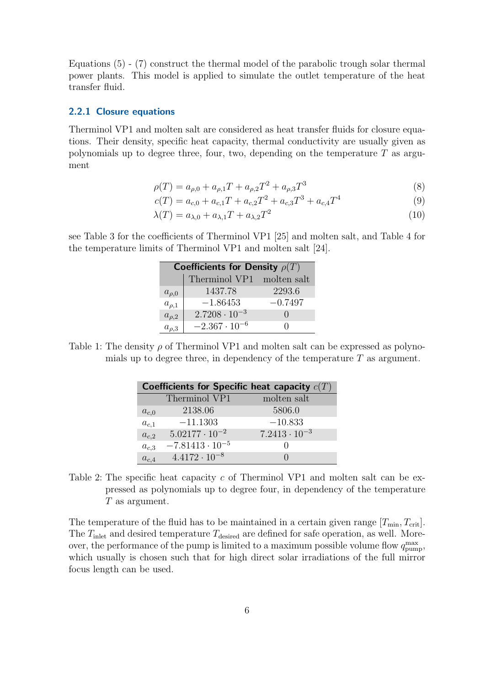Equations [\(5\)](#page-6-1) - [\(7\)](#page-7-1) construct the thermal model of the parabolic trough solar thermal power plants. This model is applied to simulate the outlet temperature of the heat transfer fluid.

#### <span id="page-8-0"></span>2.2.1 Closure equations

Therminol VP1 and molten salt are considered as heat transfer fluids for closure equations. Their density, specific heat capacity, thermal conductivity are usually given as polynomials up to degree three, four, two, depending on the temperature  $T$  as argument

$$
\rho(T) = a_{\rho,0} + a_{\rho,1}T + a_{\rho,2}T^2 + a_{\rho,3}T^3
$$
\n(8)

$$
c(T) = a_{c,0} + a_{c,1}T + a_{c,2}T^2 + a_{c,3}T^3 + a_{c,4}T^4
$$
\n(9)

$$
\lambda(T) = a_{\lambda,0} + a_{\lambda,1}T + a_{\lambda,2}T^2 \tag{10}
$$

see Table [3](#page-9-1) for the coefficients of Therminol VP1 [\[25\]](#page-26-10) and molten salt, and Table [4](#page-9-2) for the temperature limits of Therminol VP1 and molten salt [\[24\]](#page-26-11).

| Coefficients for Density $\rho(T)$ |                           |                  |
|------------------------------------|---------------------------|------------------|
|                                    | Therminol VP1 molten salt |                  |
| $a_{\rho,0}$                       | 1437.78                   | 2293.6           |
| $a_{\rho,1}$                       | $-1.86453$                | $-0.7497$        |
| $a_{\rho,2}$                       | $2.7208 \cdot 10^{-3}$    | $\left( \right)$ |
| $a_{\rho,3}$                       | $-2.367 \cdot 10^{-6}$    |                  |

Table 1: The density  $\rho$  of Therminol VP1 and molten salt can be expressed as polynomials up to degree three, in dependency of the temperature  $T$  as argument.

|           |                          | Coefficients for Specific heat capacity $c(T)$ |
|-----------|--------------------------|------------------------------------------------|
|           | Therminol VP1            | molten salt                                    |
| $a_{c,0}$ | 2138.06                  | 5806.0                                         |
| $a_{c,1}$ | $-11.1303$               | $-10.833$                                      |
| $a_{c,2}$ | $5.02177 \cdot 10^{-2}$  | $7.2413 \cdot 10^{-3}$                         |
| $a_{c,3}$ | $-7.81413 \cdot 10^{-5}$ |                                                |
| $a_{c,4}$ | $4.4172 \cdot 10^{-8}$   |                                                |

Table 2: The specific heat capacity c of Therminol VP1 and molten salt can be expressed as polynomials up to degree four, in dependency of the temperature T as argument.

The temperature of the fluid has to be maintained in a certain given range  $[T_{min}, T_{crit}]$ . The  $T_{\text{inlet}}$  and desired temperature  $T_{\text{desired}}$  are defined for safe operation, as well. Moreover, the performance of the pump is limited to a maximum possible volume flow  $q_{\text{pump}}^{\text{max}}$ , which usually is chosen such that for high direct solar irradiations of the full mirror focus length can be used.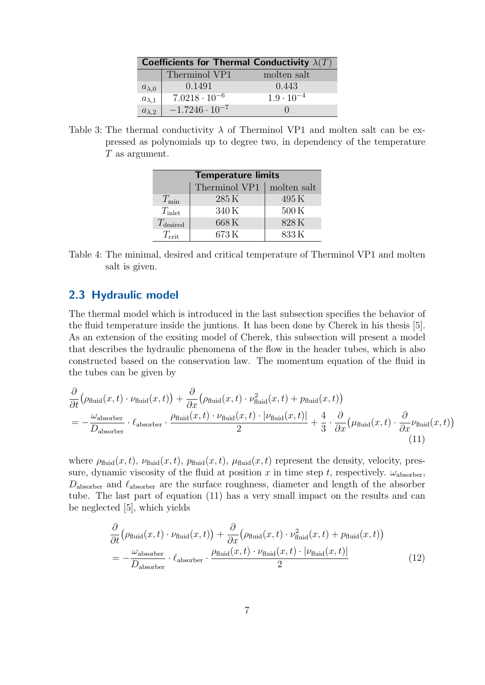<span id="page-9-1"></span>

|                 | Coefficients for Thermal Conductivity $\lambda(T)$ |                     |
|-----------------|----------------------------------------------------|---------------------|
|                 | Therminol VP1                                      | molten salt         |
| $a_{\lambda,0}$ | 0.1491                                             | 0.443               |
| $a_{\lambda,1}$ | $7.0218 \cdot 10^{-6}$                             | $1.9 \cdot 10^{-4}$ |
| $a_{\lambda,2}$ | $-1.7246 \cdot 10^{-7}$                            |                     |

<span id="page-9-2"></span>Table 3: The thermal conductivity  $\lambda$  of Therminol VP1 and molten salt can be expressed as polynomials up to degree two, in dependency of the temperature T as argument.

| <b>Temperature limits</b> |               |             |
|---------------------------|---------------|-------------|
|                           | Therminol VP1 | molten salt |
| $T_{\min}$                | 285K          | 495K        |
| $T_{\rm inlet}$           | 340K          | 500K        |
| $T_{\text{desired}}$      | 668K          | 828K        |
| $T_{\rm crit}$            | 673K          | 833K        |

Table 4: The minimal, desired and critical temperature of Therminol VP1 and molten salt is given.

#### <span id="page-9-0"></span>2.3 Hydraulic model

The thermal model which is introduced in the last subsection specifies the behavior of the fluid temperature inside the juntions. It has been done by Cherek in his thesis [\[5\]](#page-25-7). As an extension of the exsiting model of Cherek, this subsection will present a model that describes the hydraulic phenomena of the flow in the header tubes, which is also constructed based on the conservation law. The momentum equation of the fluid in the tubes can be given by

$$
\frac{\partial}{\partial t} \left( \rho_{\text{fluid}}(x, t) \cdot \nu_{\text{fluid}}(x, t) \right) + \frac{\partial}{\partial x} \left( \rho_{\text{fluid}}(x, t) \cdot \nu_{\text{fluid}}^2(x, t) + p_{\text{fluid}}(x, t) \right) \n= -\frac{\omega_{\text{absorber}}}{D_{\text{absorber}}} \cdot \ell_{\text{absorber}} \cdot \frac{\rho_{\text{fluid}}(x, t) \cdot \nu_{\text{fluid}}(x, t) \cdot |\nu_{\text{fluid}}(x, t)|}{2} + \frac{4}{3} \cdot \frac{\partial}{\partial x} \left( \mu_{\text{fluid}}(x, t) \cdot \frac{\partial}{\partial x} \nu_{\text{fluid}}(x, t) \right)
$$
\n(11)

where  $\rho_{\text{fluid}}(x, t)$ ,  $\nu_{\text{fluid}}(x, t)$ ,  $p_{\text{fluid}}(x, t)$ ,  $\mu_{\text{fluid}}(x, t)$  represent the density, velocity, pressure, dynamic viscosity of the fluid at position x in time step t, respectively.  $\omega_{\text{absorber}}$ ,  $D_{\text{absorber}}$  and  $\ell_{\text{absorber}}$  are the surface roughness, diameter and length of the absorber tube. The last part of equation [\(11\)](#page-9-3) has a very small impact on the results and can be neglected [\[5\]](#page-25-7), which yields

<span id="page-9-4"></span><span id="page-9-3"></span>
$$
\frac{\partial}{\partial t} \left( \rho_{\text{fluid}}(x, t) \cdot \nu_{\text{fluid}}(x, t) \right) + \frac{\partial}{\partial x} \left( \rho_{\text{fluid}}(x, t) \cdot \nu_{\text{fluid}}^2(x, t) + p_{\text{fluid}}(x, t) \right)
$$
\n
$$
= -\frac{\omega_{\text{absorber}}}{D_{\text{absorber}}} \cdot \frac{\rho_{\text{fluid}}(x, t) \cdot \nu_{\text{fluid}}(x, t) \cdot |\nu_{\text{fluid}}(x, t)|}{2} \tag{12}
$$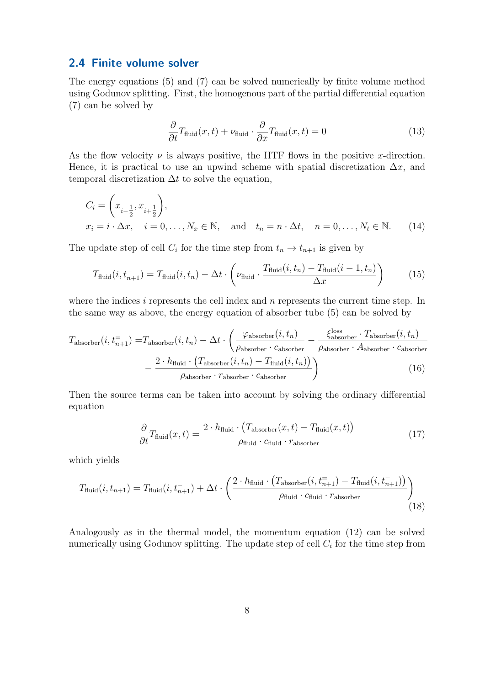#### <span id="page-10-0"></span>2.4 Finite volume solver

The energy equations [\(5\)](#page-6-1) and [\(7\)](#page-7-1) can be solved numerically by finite volume method using Godunov splitting. First, the homogenous part of the partial differential equation [\(7\)](#page-7-1) can be solved by

$$
\frac{\partial}{\partial t}T_{\text{fluid}}(x,t) + \nu_{\text{fluid}} \cdot \frac{\partial}{\partial x}T_{\text{fluid}}(x,t) = 0 \tag{13}
$$

As the flow velocity  $\nu$  is always positive, the HTF flows in the positive x-direction. Hence, it is practical to use an upwind scheme with spatial discretization  $\Delta x$ , and temporal discretization  $\Delta t$  to solve the equation,

$$
C_i = \left(x_{i-\frac{1}{2}}, x_{i+\frac{1}{2}}\right),
$$
  
\n
$$
x_i = i \cdot \Delta x, \quad i = 0, \dots, N_x \in \mathbb{N}, \text{ and } t_n = n \cdot \Delta t, \quad n = 0, \dots, N_t \in \mathbb{N}.
$$
 (14)

The update step of cell  $C_i$  for the time step from  $t_n \to t_{n+1}$  is given by

$$
T_{\text{fluid}}(i, t_{n+1}^-) = T_{\text{fluid}}(i, t_n) - \Delta t \cdot \left(\nu_{\text{fluid}} \cdot \frac{T_{\text{fluid}}(i, t_n) - T_{\text{fluid}}(i - 1, t_n)}{\Delta x}\right) \tag{15}
$$

where the indices i represents the cell index and  $n$  represents the current time step. In the same way as above, the energy equation of absorber tube [\(5\)](#page-6-1) can be solved by

$$
T_{\text{absorber}}(i, t_{n+1}^{-}) = T_{\text{absorber}}(i, t_n) - \Delta t \cdot \left(\frac{\varphi_{\text{absorber}}(i, t_n)}{\rho_{\text{absorber}} \cdot c_{\text{absorber}}}\right) - \frac{\zeta_{\text{absorber}}^{\text{loss}} \cdot T_{\text{absorber}}(i, t_n)}{\rho_{\text{absorber}} \cdot A_{\text{absorber}} \cdot c_{\text{absorber}}}
$$

$$
- \frac{2 \cdot h_{\text{fluid}} \cdot (T_{\text{absorber}}(i, t_n) - T_{\text{fluid}}(i, t_n))}{\rho_{\text{absorber}} \cdot r_{\text{absorber}}}
$$
(16)

Then the source terms can be taken into account by solving the ordinary differential equation

$$
\frac{\partial}{\partial t}T_{\text{fluid}}(x,t) = \frac{2 \cdot h_{\text{fluid}} \cdot (T_{\text{absorber}}(x,t) - T_{\text{fluid}}(x,t))}{\rho_{\text{fluid}} \cdot c_{\text{fluid}} \cdot r_{\text{absorber}}}
$$
(17)

which yields

$$
T_{\text{fluid}}(i, t_{n+1}) = T_{\text{fluid}}(i, t_{n+1}) + \Delta t \cdot \left(\frac{2 \cdot h_{\text{fluid}} \cdot (T_{\text{absorber}}(i, t_{n+1}^{-}) - T_{\text{fluid}}(i, t_{n+1}^{-}))}{\rho_{\text{fluid}} \cdot c_{\text{fluid}} \cdot r_{\text{absorber}}}\right)
$$
(18)

Analogously as in the thermal model, the momentum equation [\(12\)](#page-9-4) can be solved numerically using Godunov splitting. The update step of cell  $C_i$  for the time step from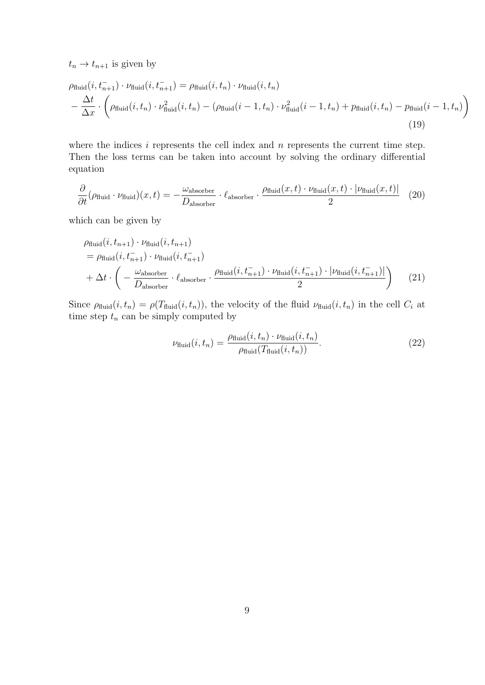$t_n \rightarrow t_{n+1}$  is given by

$$
\rho_{\text{fluid}}(i, t_{n+1}^-) \cdot \nu_{\text{fluid}}(i, t_{n+1}^-) = \rho_{\text{fluid}}(i, t_n) \cdot \nu_{\text{fluid}}(i, t_n)
$$
\n
$$
-\frac{\Delta t}{\Delta x} \cdot \left(\rho_{\text{fluid}}(i, t_n) \cdot \nu_{\text{fluid}}^2(i, t_n) - (\rho_{\text{fluid}}(i - 1, t_n) \cdot \nu_{\text{fluid}}^2(i - 1, t_n) + p_{\text{fluid}}(i, t_n) - p_{\text{fluid}}(i - 1, t_n)\right)
$$
\n(19)

where the indices  $i$  represents the cell index and  $n$  represents the current time step. Then the loss terms can be taken into account by solving the ordinary differential equation

$$
\frac{\partial}{\partial t}(\rho_{\text{fluid}} \cdot \nu_{\text{fluid}})(x, t) = -\frac{\omega_{\text{absorber}}}{D_{\text{absorber}}} \cdot \ell_{\text{absorber}} \cdot \frac{\rho_{\text{fluid}}(x, t) \cdot \nu_{\text{fluid}}(x, t) \cdot |\nu_{\text{fluid}}(x, t)|}{2}
$$
(20)

which can be given by

$$
\rho_{\text{fluid}}(i, t_{n+1}) \cdot \nu_{\text{fluid}}(i, t_{n+1})
$$
\n
$$
= \rho_{\text{fluid}}(i, t_{n+1}) \cdot \nu_{\text{fluid}}(i, t_{n+1})
$$
\n
$$
+ \Delta t \cdot \left( -\frac{\omega_{\text{absorber}}}{D_{\text{absorber}}} \cdot \ell_{\text{absorber}} \cdot \frac{\rho_{\text{fluid}}(i, t_{n+1}) \cdot \nu_{\text{fluid}}(i, t_{n+1}) \cdot |\nu_{\text{fluid}}(i, t_{n+1})|}{2} \right) \tag{21}
$$

Since  $\rho_{\text{fluid}}(i, t_n) = \rho(T_{\text{fluid}}(i, t_n))$ , the velocity of the fluid  $\nu_{\text{fluid}}(i, t_n)$  in the cell  $C_i$  at time step  $t_n$  can be simply computed by

$$
\nu_{\text{fluid}}(i, t_n) = \frac{\rho_{\text{fluid}}(i, t_n) \cdot \nu_{\text{fluid}}(i, t_n)}{\rho_{\text{fluid}}(T_{\text{fluid}}(i, t_n))}.
$$
\n(22)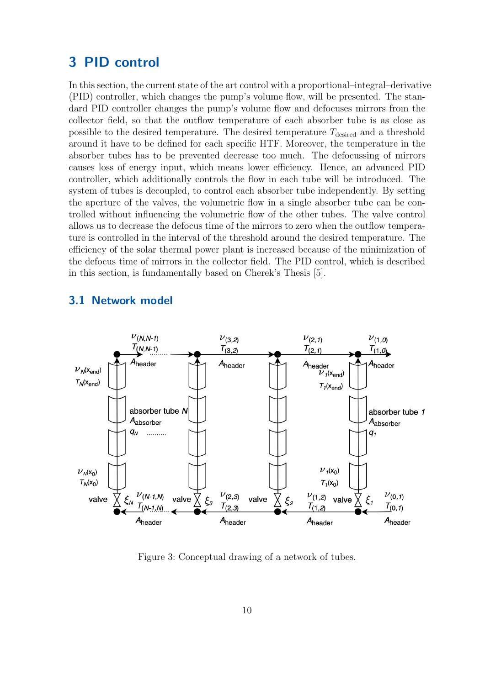## <span id="page-12-0"></span>3 PID control

In this section, the current state of the art control with a proportional–integral–derivative (PID) controller, which changes the pump's volume flow, will be presented. The standard PID controller changes the pump's volume flow and defocuses mirrors from the collector field, so that the outflow temperature of each absorber tube is as close as possible to the desired temperature. The desired temperature  $T_{\text{desired}}$  and a threshold around it have to be defined for each specific HTF. Moreover, the temperature in the absorber tubes has to be prevented decrease too much. The defocussing of mirrors causes loss of energy input, which means lower efficiency. Hence, an advanced PID controller, which additionally controls the flow in each tube will be introduced. The system of tubes is decoupled, to control each absorber tube independently. By setting the aperture of the valves, the volumetric flow in a single absorber tube can be controlled without influencing the volumetric flow of the other tubes. The valve control allows us to decrease the defocus time of the mirrors to zero when the outflow temperature is controlled in the interval of the threshold around the desired temperature. The efficiency of the solar thermal power plant is increased because of the minimization of the defocus time of mirrors in the collector field. The PID control, which is described in this section, is fundamentally based on Cherek's Thesis [\[5\]](#page-25-7).

### <span id="page-12-1"></span>3.1 Network model

<span id="page-12-2"></span>

Figure 3: Conceptual drawing of a network of tubes.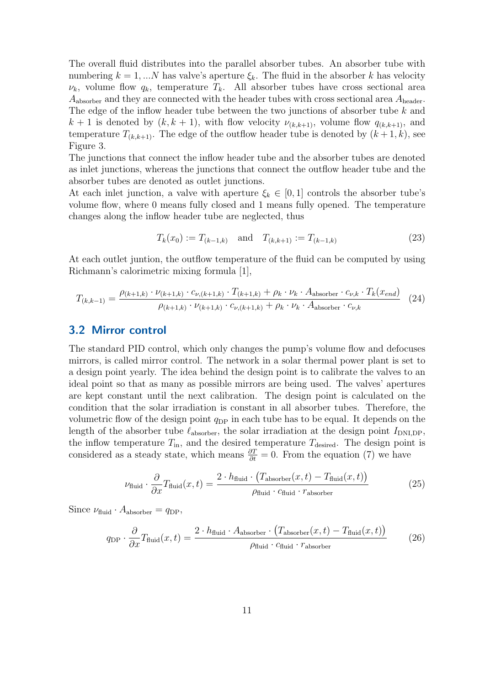The overall fluid distributes into the parallel absorber tubes. An absorber tube with numbering  $k = 1, ...N$  has valve's aperture  $\xi_k$ . The fluid in the absorber k has velocity  $\nu_k$ , volume flow  $q_k$ , temperature  $T_k$ . All absorber tubes have cross sectional area  $A_{\text{absorber}}$  and they are connected with the header tubes with cross sectional area  $A_{\text{header}}$ . The edge of the inflow header tube between the two junctions of absorber tube k and  $k+1$  is denoted by  $(k, k+1)$ , with flow velocity  $\nu_{(k,k+1)}$ , volume flow  $q_{(k,k+1)}$ , and temperature  $T_{(k,k+1)}$ . The edge of the outflow header tube is denoted by  $(k+1, k)$ , see [Figure 3.](#page-12-2)

The junctions that connect the inflow header tube and the absorber tubes are denoted as inlet junctions, whereas the junctions that connect the outflow header tube and the absorber tubes are denoted as outlet junctions.

At each inlet junction, a valve with aperture  $\xi_k \in [0,1]$  controls the absorber tube's volume flow, where 0 means fully closed and 1 means fully opened. The temperature changes along the inflow header tube are neglected, thus

$$
T_k(x_0) := T_{(k-1,k)} \quad \text{and} \quad T_{(k,k+1)} := T_{(k-1,k)} \tag{23}
$$

At each outlet juntion, the outflow temperature of the fluid can be computed by using Richmann's calorimetric mixing formula [\[1\]](#page-25-11),

$$
T_{(k,k-1)} = \frac{\rho_{(k+1,k)} \cdot \nu_{(k+1,k)} \cdot c_{\nu,(k+1,k)} \cdot T_{(k+1,k)} + \rho_k \cdot \nu_k \cdot A_{\text{absorber}} \cdot c_{\nu,k} \cdot T_k(x_{end})}{\rho_{(k+1,k)} \cdot \nu_{(k+1,k)} \cdot c_{\nu,(k+1,k)} + \rho_k \cdot \nu_k \cdot A_{\text{absorber}} \cdot c_{\nu,k}} \tag{24}
$$

#### <span id="page-13-0"></span>3.2 Mirror control

The standard PID control, which only changes the pump's volume flow and defocuses mirrors, is called mirror control. The network in a solar thermal power plant is set to a design point yearly. The idea behind the design point is to calibrate the valves to an ideal point so that as many as possible mirrors are being used. The valves' apertures are kept constant until the next calibration. The design point is calculated on the condition that the solar irradiation is constant in all absorber tubes. Therefore, the volumetric flow of the design point  $q_{\text{DP}}$  in each tube has to be equal. It depends on the length of the absorber tube  $\ell_{\text{absorber}}$ , the solar irradiation at the design point  $I_{\text{DNLDP}}$ , the inflow temperature  $T_{\text{in}}$ , and the desired temperature  $T_{\text{desired}}$ . The design point is considered as a steady state, which means  $\frac{\partial T}{\partial t} = 0$ . From the equation [\(7\)](#page-7-1) we have

<span id="page-13-1"></span>
$$
\nu_{\text{fluid}} \cdot \frac{\partial}{\partial x} T_{\text{fluid}}(x, t) = \frac{2 \cdot h_{\text{fluid}} \cdot (T_{\text{absorber}}(x, t) - T_{\text{fluid}}(x, t))}{\rho_{\text{fluid}} \cdot c_{\text{fluid}} \cdot r_{\text{absorber}}}
$$
(25)

Since  $\nu_{\text{fluid}} \cdot A_{\text{absorber}} = q_{\text{DP}},$ 

$$
q_{\rm DP} \cdot \frac{\partial}{\partial x} T_{\rm fluid}(x,t) = \frac{2 \cdot h_{\rm fluid} \cdot A_{\rm absorber} \cdot (T_{\rm absorber}(x,t) - T_{\rm fluid}(x,t))}{\rho_{\rm fluid} \cdot c_{\rm fluid} \cdot r_{\rm absorber}} \tag{26}
$$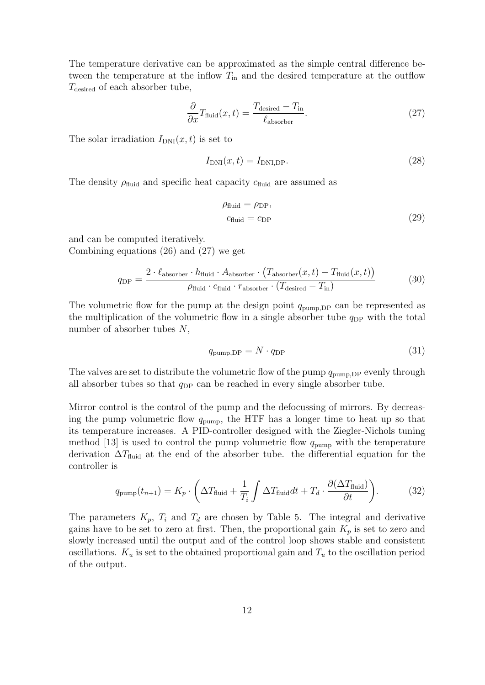The temperature derivative can be approximated as the simple central difference between the temperature at the inflow  $T_{\text{in}}$  and the desired temperature at the outflow  $T_{\text{desired}}$  of each absorber tube,

$$
\frac{\partial}{\partial x} T_{\text{fluid}}(x, t) = \frac{T_{\text{desired}} - T_{\text{in}}}{\ell_{\text{absorber}}}.
$$
\n(27)

The solar irradiation  $I_{\text{DNI}}(x, t)$  is set to

$$
I_{\text{DNI}}(x,t) = I_{\text{DNI},\text{DP}}.\tag{28}
$$

The density  $\rho_{\text{fluid}}$  and specific heat capacity  $c_{\text{fluid}}$  are assumed as

<span id="page-14-0"></span>
$$
\rho_{\text{fluid}} = \rho_{\text{DP}},
$$
  
\n
$$
c_{\text{fluid}} = c_{\text{DP}} \tag{29}
$$

and can be computed iteratively. Combining equations [\(26\)](#page-13-1) and [\(27\)](#page-14-0) we get

$$
q_{\rm DP} = \frac{2 \cdot \ell_{\rm absorber} \cdot h_{\rm fluid} \cdot A_{\rm absorber} \cdot (T_{\rm absorber}(x, t) - T_{\rm fluid}(x, t))}{\rho_{\rm fluid} \cdot c_{\rm fluid} \cdot r_{\rm absorber} \cdot (T_{\rm desired} - T_{\rm in})}
$$
(30)

The volumetric flow for the pump at the design point  $q_{\text{pump,DP}}$  can be represented as the multiplication of the volumetric flow in a single absorber tube  $q_{\text{DP}}$  with the total number of absorber tubes N,

$$
q_{\text{pump},\text{DP}} = N \cdot q_{\text{DP}} \tag{31}
$$

The valves are set to distribute the volumetric flow of the pump  $q_{\text{pump,DP}}$  evenly through all absorber tubes so that  $q_{\text{DP}}$  can be reached in every single absorber tube.

Mirror control is the control of the pump and the defocussing of mirrors. By decreasing the pump volumetric flow  $q_{\text{pump}}$ , the HTF has a longer time to heat up so that its temperature increases. A PID-controller designed with the Ziegler-Nichols tuning method [\[13\]](#page-25-12) is used to control the pump volumetric flow  $q_{\text{pump}}$  with the temperature derivation  $\Delta T_{\text{fluid}}$  at the end of the absorber tube. the differential equation for the controller is

$$
q_{\text{pump}}(t_{n+1}) = K_p \cdot \left(\Delta T_{\text{fluid}} + \frac{1}{T_i} \int \Delta T_{\text{fluid}} dt + T_d \cdot \frac{\partial (\Delta T_{\text{fluid}})}{\partial t}\right).
$$
(32)

The parameters  $K_p$ ,  $T_i$  and  $T_d$  are chosen by [Table 5.](#page-15-1) The integral and derivative gains have to be set to zero at first. Then, the proportional gain  $K_p$  is set to zero and slowly increased until the output and of the control loop shows stable and consistent oscillations.  $K_u$  is set to the obtained proportional gain and  $T_u$  to the oscillation period of the output.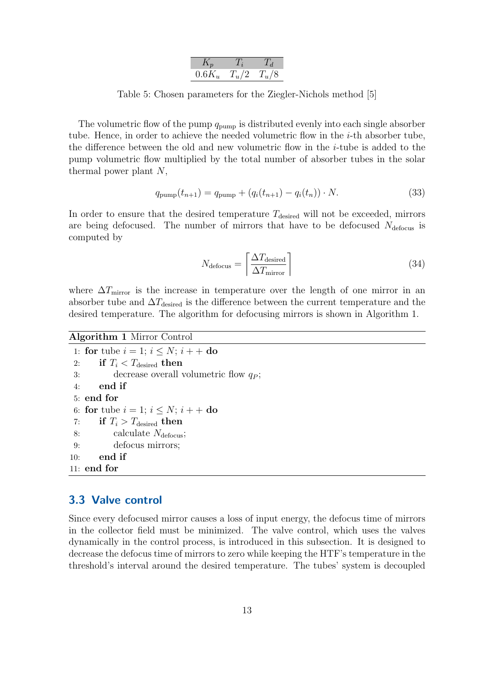| $0.6K_u$ |  |
|----------|--|

<span id="page-15-1"></span>Table 5: Chosen parameters for the Ziegler-Nichols method [\[5\]](#page-25-7)

The volumetric flow of the pump  $q_{\text{pump}}$  is distributed evenly into each single absorber tube. Hence, in order to achieve the needed volumetric flow in the i-th absorber tube, the difference between the old and new volumetric flow in the  $i$ -tube is added to the pump volumetric flow multiplied by the total number of absorber tubes in the solar thermal power plant  $N$ ,

$$
q_{\text{pump}}(t_{n+1}) = q_{\text{pump}} + (q_i(t_{n+1}) - q_i(t_n)) \cdot N. \tag{33}
$$

In order to ensure that the desired temperature  $T_{\text{desired}}$  will not be exceeded, mirrors are being defocused. The number of mirrors that have to be defocused  $N_{\text{defocus}}$  is computed by

$$
N_{\text{defocus}} = \left\lceil \frac{\Delta T_{\text{desired}}}{\Delta T_{\text{mirror}}} \right\rceil \tag{34}
$$

where  $\Delta T_{\text{mirror}}$  is the increase in temperature over the length of one mirror in an absorber tube and  $\Delta T_{\text{desired}}$  is the difference between the current temperature and the desired temperature. The algorithm for defocusing mirrors is shown in Algorithm [1.](#page-15-2)

#### <span id="page-15-2"></span>Algorithm 1 Mirror Control

1: for tube  $i = 1$ ;  $i \leq N$ ;  $i + +$  do 2: if  $T_i < T_{\text{desired}}$  then 3: decrease overall volumetric flow  $q_P$ ; 4: end if 5: end for 6: for tube  $i = 1; i \leq N; i + +$  do 7: if  $T_i > T_{\text{desired}}$  then 8: calculate  $N_{\text{defocus}}$ ; 9: defocus mirrors; 10: end if 11: end for

### <span id="page-15-0"></span>3.3 Valve control

Since every defocused mirror causes a loss of input energy, the defocus time of mirrors in the collector field must be minimized. The valve control, which uses the valves dynamically in the control process, is introduced in this subsection. It is designed to decrease the defocus time of mirrors to zero while keeping the HTF's temperature in the threshold's interval around the desired temperature. The tubes' system is decoupled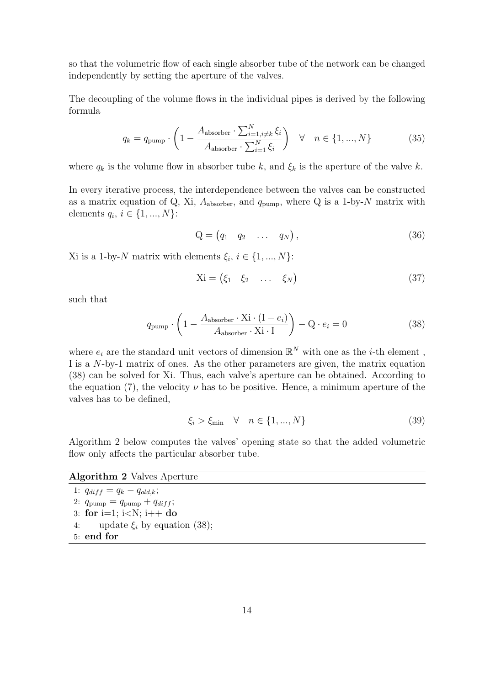so that the volumetric flow of each single absorber tube of the network can be changed independently by setting the aperture of the valves.

The decoupling of the volume flows in the individual pipes is derived by the following formula

$$
q_k = q_{\text{pump}} \cdot \left(1 - \frac{A_{\text{absorber}} \cdot \sum_{i=1, i \neq k}^N \xi_i}{A_{\text{absorber}} \cdot \sum_{i=1}^N \xi_i}\right) \quad \forall \quad n \in \{1, ..., N\}
$$
 (35)

where  $q_k$  is the volume flow in absorber tube k, and  $\xi_k$  is the aperture of the valve k.

In every iterative process, the interdependence between the valves can be constructed as a matrix equation of Q, Xi,  $A_{\text{absorber}}$ , and  $q_{\text{pump}}$ , where Q is a 1-by-N matrix with elements  $q_i, i \in \{1, ..., N\}$ :

$$
Q = \begin{pmatrix} q_1 & q_2 & \dots & q_N \end{pmatrix}, \tag{36}
$$

Xi is a 1-by-N matrix with elements  $\xi_i, i \in \{1, ..., N\}$ :

<span id="page-16-0"></span>
$$
Xi = (\xi_1 \quad \xi_2 \quad \dots \quad \xi_N)
$$
\n(37)

such that

$$
q_{\text{pump}} \cdot \left(1 - \frac{A_{\text{absorber}} \cdot \text{Xi} \cdot (I - e_i)}{A_{\text{absorber}} \cdot \text{Xi} \cdot I}\right) - Q \cdot e_i = 0 \tag{38}
$$

where  $e_i$  are the standard unit vectors of dimension  $\mathbb{R}^N$  with one as the *i*-th element, I is a N-by-1 matrix of ones. As the other parameters are given, the matrix equation [\(38\)](#page-16-0) can be solved for Xi. Thus, each valve's aperture can be obtained. According to the equation [\(7\)](#page-7-1), the velocity  $\nu$  has to be positive. Hence, a minimum aperture of the valves has to be defined,

$$
\xi_i > \xi_{\min} \quad \forall \quad n \in \{1, ..., N\} \tag{39}
$$

Algorithm [2](#page-16-1) below computes the valves' opening state so that the added volumetric flow only affects the particular absorber tube.

#### <span id="page-16-1"></span>Algorithm 2 Valves Aperture

1:  $q_{diff} = q_k - q_{old,k};$ 2:  $q_{\text{pump}} = q_{\text{pump}} + q_{diff}$ ; 3: for i=1; i<N; i++ do 4: update  $\xi_i$  by equation [\(38\)](#page-16-0); 5: end for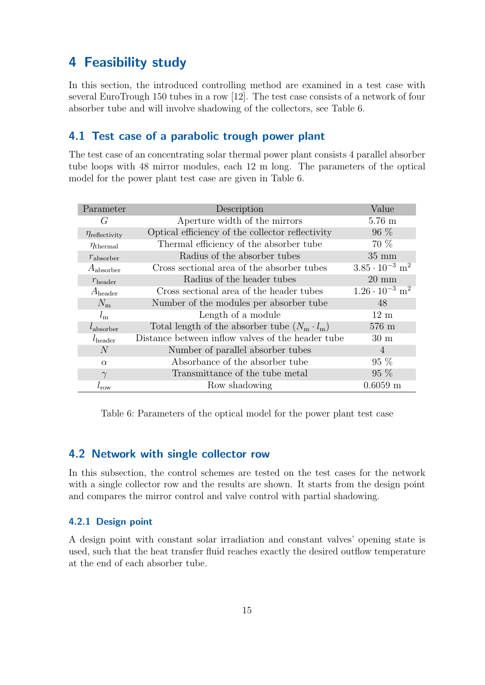# <span id="page-17-0"></span>4 Feasibility study

In this section, the introduced controlling method are examined in a test case with several EuroTrough 150 tubes in a row [\[12\]](#page-25-13). The test case consists of a network of four absorber tube and will involve shadowing of the collectors, see [Table 6.](#page-17-4)

### <span id="page-17-1"></span>4.1 Test case of a parabolic trough power plant

The test case of an concentrating solar thermal power plant consists 4 parallel absorber tube loops with 48 mirror modules, each 12 m long. The parameters of the optical model for the power plant test case are given in [Table 6.](#page-17-4)

<span id="page-17-4"></span>

| Parameter                 | Description                                         | Value                               |
|---------------------------|-----------------------------------------------------|-------------------------------------|
| G                         | Aperture width of the mirrors                       | $5.76 \text{ m}$                    |
| $\eta_{\rm reflectivity}$ | Optical efficiency of the collector reflectivity    | $96\%$                              |
| $\eta_{\rm thermal}$      | Thermal efficiency of the absorber tube             | 70 %                                |
| $r_{\rm absorber}$        | Radius of the absorber tubes                        | $35 \text{ mm}$                     |
| $A_{\text{absorber}}$     | Cross sectional area of the absorber tubes          | $3.85 \cdot 10^{-3}$ m <sup>2</sup> |
| $r_{\text{header}}$       | Radius of the header tubes                          | $20 \text{ mm}$                     |
| $A_{\text{header}}$       | Cross sectional area of the header tubes            | $1.26 \cdot 10^{-3}$ m <sup>2</sup> |
| $N_{\rm m}$               | Number of the modules per absorber tube             | 48                                  |
| $l_{\rm m}$               | Length of a module                                  | $12 \text{ m}$                      |
| $l_{\rm absorber}$        | Total length of the absorber tube $(N_m \cdot l_m)$ | $576 \text{ m}$                     |
| $l_{\text{header}}$       | Distance between inflow valves of the header tube   | $30 \text{ m}$                      |
| N                         | Number of parallel absorber tubes                   | $\overline{4}$                      |
| $\alpha$                  | Absorbance of the absorber tube                     | $95\%$                              |
| $\gamma$                  | Transmittance of the tube metal                     | $95\%$                              |
| $t_{\text{row}}$          | Row shadowing                                       | $0.6059$ m                          |

Table 6: Parameters of the optical model for the power plant test case

### <span id="page-17-2"></span>4.2 Network with single collector row

In this subsection, the control schemes are tested on the test cases for the network with a single collector row and the results are shown. It starts from the design point and compares the mirror control and valve control with partial shadowing.

#### <span id="page-17-3"></span>4.2.1 Design point

A design point with constant solar irradiation and constant valves' opening state is used, such that the heat transfer fluid reaches exactly the desired outflow temperature at the end of each absorber tube.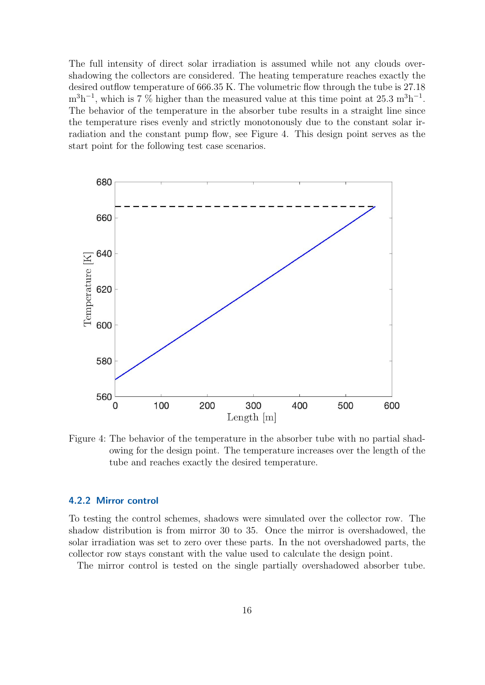The full intensity of direct solar irradiation is assumed while not any clouds overshadowing the collectors are considered. The heating temperature reaches exactly the desired outflow temperature of 666.35 K. The volumetric flow through the tube is 27.18  $m^3h^{-1}$ , which is 7 % higher than the measured value at this time point at 25.3  $m^3h^{-1}$ . The behavior of the temperature in the absorber tube results in a straight line since the temperature rises evenly and strictly monotonously due to the constant solar irradiation and the constant pump flow, see Figure [4.](#page-18-1) This design point serves as the start point for the following test case scenarios.

<span id="page-18-1"></span>

Figure 4: The behavior of the temperature in the absorber tube with no partial shadowing for the design point. The temperature increases over the length of the tube and reaches exactly the desired temperature.

#### <span id="page-18-0"></span>4.2.2 Mirror control

To testing the control schemes, shadows were simulated over the collector row. The shadow distribution is from mirror 30 to 35. Once the mirror is overshadowed, the solar irradiation was set to zero over these parts. In the not overshadowed parts, the collector row stays constant with the value used to calculate the design point.

The mirror control is tested on the single partially overshadowed absorber tube.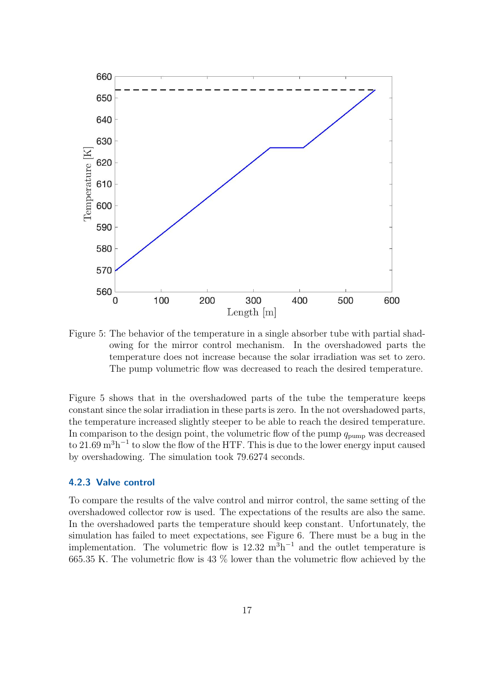<span id="page-19-1"></span>

Figure 5: The behavior of the temperature in a single absorber tube with partial shadowing for the mirror control mechanism. In the overshadowed parts the temperature does not increase because the solar irradiation was set to zero. The pump volumetric flow was decreased to reach the desired temperature.

Figure [5](#page-19-1) shows that in the overshadowed parts of the tube the temperature keeps constant since the solar irradiation in these parts is zero. In the not overshadowed parts, the temperature increased slightly steeper to be able to reach the desired temperature. In comparison to the design point, the volumetric flow of the pump  $q_{\text{pump}}$  was decreased to 21.69  $m<sup>3</sup>h<sup>-1</sup>$  to slow the flow of the HTF. This is due to the lower energy input caused by overshadowing. The simulation took 79.6274 seconds.

#### <span id="page-19-0"></span>4.2.3 Valve control

To compare the results of the valve control and mirror control, the same setting of the overshadowed collector row is used. The expectations of the results are also the same. In the overshadowed parts the temperature should keep constant. Unfortunately, the simulation has failed to meet expectations, see Figure [6.](#page-20-2) There must be a bug in the implementation. The volumetric flow is  $12.32 \text{ m}^3 \text{h}^{-1}$  and the outlet temperature is 665.35 K. The volumetric flow is 43 % lower than the volumetric flow achieved by the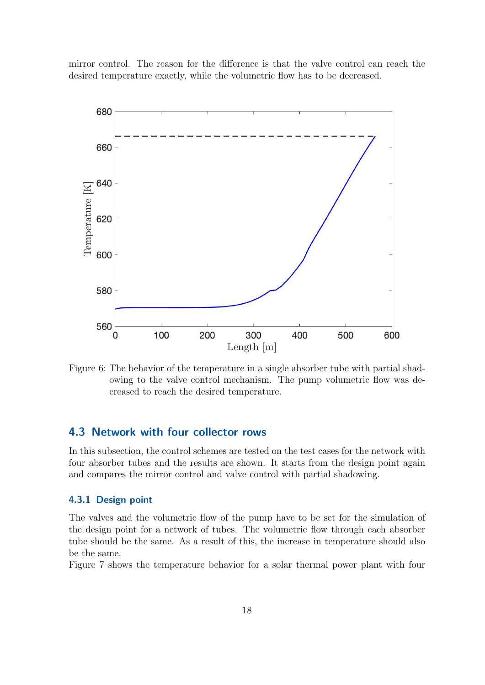mirror control. The reason for the difference is that the valve control can reach the desired temperature exactly, while the volumetric flow has to be decreased.

<span id="page-20-2"></span>

Figure 6: The behavior of the temperature in a single absorber tube with partial shadowing to the valve control mechanism. The pump volumetric flow was decreased to reach the desired temperature.

### <span id="page-20-0"></span>4.3 Network with four collector rows

In this subsection, the control schemes are tested on the test cases for the network with four absorber tubes and the results are shown. It starts from the design point again and compares the mirror control and valve control with partial shadowing.

#### <span id="page-20-1"></span>4.3.1 Design point

The valves and the volumetric flow of the pump have to be set for the simulation of the design point for a network of tubes. The volumetric flow through each absorber tube should be the same. As a result of this, the increase in temperature should also be the same.

Figure [7](#page-21-1) shows the temperature behavior for a solar thermal power plant with four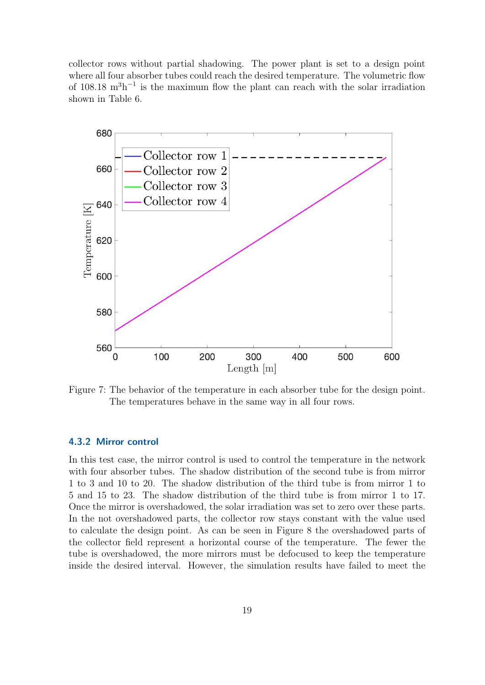collector rows without partial shadowing. The power plant is set to a design point where all four absorber tubes could reach the desired temperature. The volumetric flow of  $108.18 \text{ m}^3$ h<sup>-1</sup> is the maximum flow the plant can reach with the solar irradiation shown in Table [6.](#page-17-4)

<span id="page-21-1"></span>

Figure 7: The behavior of the temperature in each absorber tube for the design point. The temperatures behave in the same way in all four rows.

#### <span id="page-21-0"></span>4.3.2 Mirror control

In this test case, the mirror control is used to control the temperature in the network with four absorber tubes. The shadow distribution of the second tube is from mirror 1 to 3 and 10 to 20. The shadow distribution of the third tube is from mirror 1 to 5 and 15 to 23. The shadow distribution of the third tube is from mirror 1 to 17. Once the mirror is overshadowed, the solar irradiation was set to zero over these parts. In the not overshadowed parts, the collector row stays constant with the value used to calculate the design point. As can be seen in Figure [8](#page-22-1) the overshadowed parts of the collector field represent a horizontal course of the temperature. The fewer the tube is overshadowed, the more mirrors must be defocused to keep the temperature inside the desired interval. However, the simulation results have failed to meet the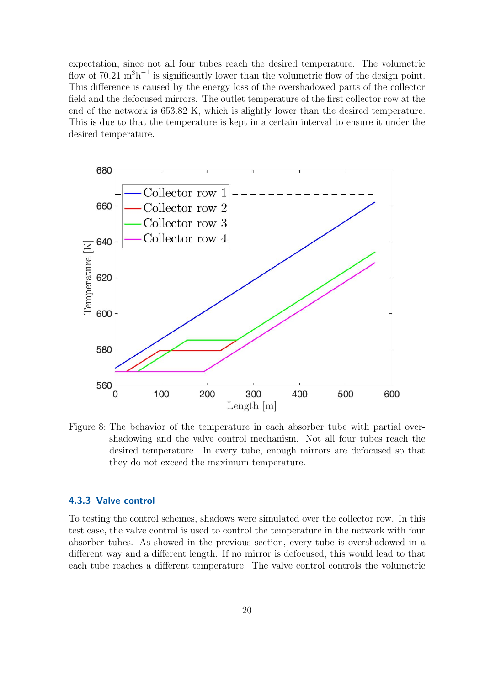expectation, since not all four tubes reach the desired temperature. The volumetric flow of 70.21  $\mathrm{m}^{3} \mathrm{h}^{-1}$  is significantly lower than the volumetric flow of the design point. This difference is caused by the energy loss of the overshadowed parts of the collector field and the defocused mirrors. The outlet temperature of the first collector row at the end of the network is 653.82 K, which is slightly lower than the desired temperature. This is due to that the temperature is kept in a certain interval to ensure it under the desired temperature.

<span id="page-22-1"></span>

Figure 8: The behavior of the temperature in each absorber tube with partial overshadowing and the valve control mechanism. Not all four tubes reach the desired temperature. In every tube, enough mirrors are defocused so that they do not exceed the maximum temperature.

#### <span id="page-22-0"></span>4.3.3 Valve control

To testing the control schemes, shadows were simulated over the collector row. In this test case, the valve control is used to control the temperature in the network with four absorber tubes. As showed in the previous section, every tube is overshadowed in a different way and a different length. If no mirror is defocused, this would lead to that each tube reaches a different temperature. The valve control controls the volumetric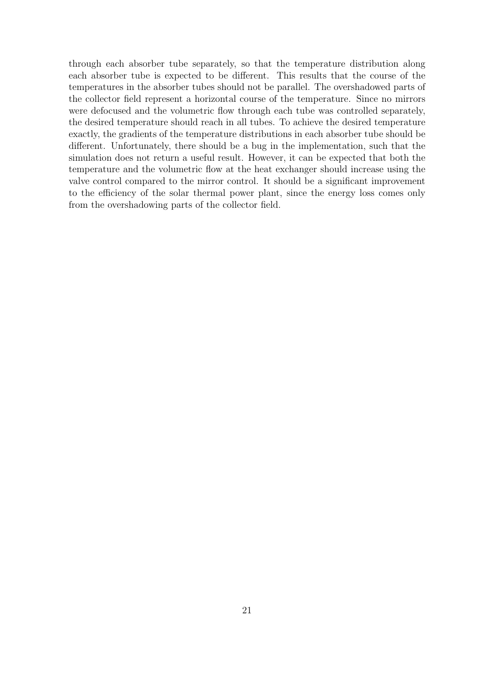through each absorber tube separately, so that the temperature distribution along each absorber tube is expected to be different. This results that the course of the temperatures in the absorber tubes should not be parallel. The overshadowed parts of the collector field represent a horizontal course of the temperature. Since no mirrors were defocused and the volumetric flow through each tube was controlled separately, the desired temperature should reach in all tubes. To achieve the desired temperature exactly, the gradients of the temperature distributions in each absorber tube should be different. Unfortunately, there should be a bug in the implementation, such that the simulation does not return a useful result. However, it can be expected that both the temperature and the volumetric flow at the heat exchanger should increase using the valve control compared to the mirror control. It should be a significant improvement to the efficiency of the solar thermal power plant, since the energy loss comes only from the overshadowing parts of the collector field.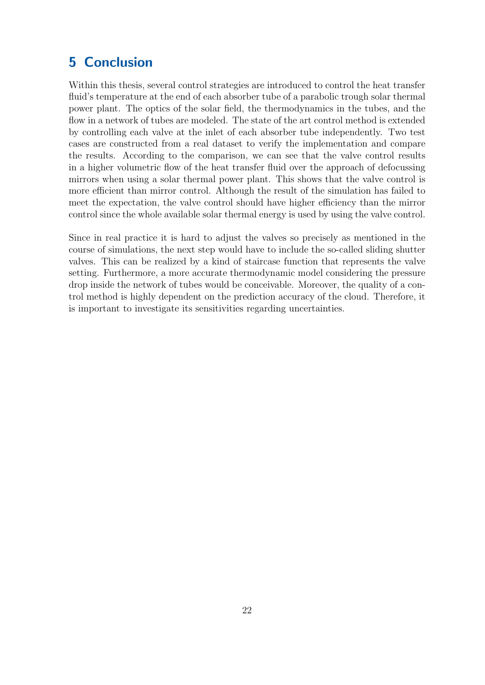# <span id="page-24-0"></span>5 Conclusion

Within this thesis, several control strategies are introduced to control the heat transfer fluid's temperature at the end of each absorber tube of a parabolic trough solar thermal power plant. The optics of the solar field, the thermodynamics in the tubes, and the flow in a network of tubes are modeled. The state of the art control method is extended by controlling each valve at the inlet of each absorber tube independently. Two test cases are constructed from a real dataset to verify the implementation and compare the results. According to the comparison, we can see that the valve control results in a higher volumetric flow of the heat transfer fluid over the approach of defocussing mirrors when using a solar thermal power plant. This shows that the valve control is more efficient than mirror control. Although the result of the simulation has failed to meet the expectation, the valve control should have higher efficiency than the mirror control since the whole available solar thermal energy is used by using the valve control.

Since in real practice it is hard to adjust the valves so precisely as mentioned in the course of simulations, the next step would have to include the so-called sliding shutter valves. This can be realized by a kind of staircase function that represents the valve setting. Furthermore, a more accurate thermodynamic model considering the pressure drop inside the network of tubes would be conceivable. Moreover, the quality of a control method is highly dependent on the prediction accuracy of the cloud. Therefore, it is important to investigate its sensitivities regarding uncertainties.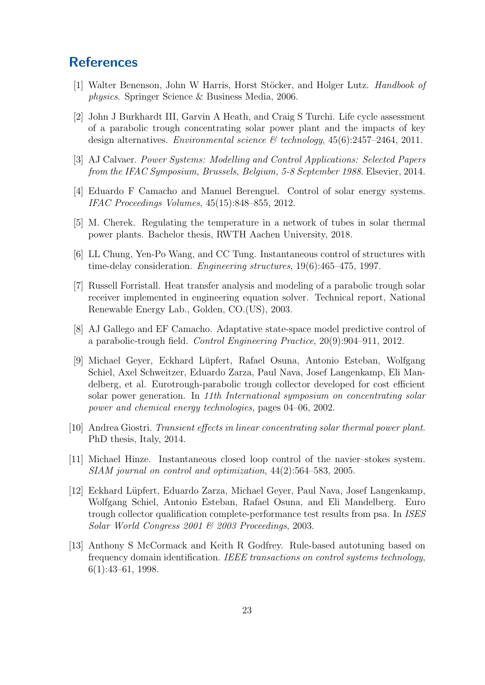## <span id="page-25-0"></span>**References**

- <span id="page-25-11"></span>[1] Walter Benenson, John W Harris, Horst Stöcker, and Holger Lutz. *Handbook of* physics. Springer Science & Business Media, 2006.
- <span id="page-25-2"></span>[2] John J Burkhardt III, Garvin A Heath, and Craig S Turchi. Life cycle assessment of a parabolic trough concentrating solar power plant and the impacts of key design alternatives. Environmental science  $\mathcal B$  technology, 45(6):2457-2464, 2011.
- <span id="page-25-3"></span>[3] AJ Calvaer. Power Systems: Modelling and Control Applications: Selected Papers from the IFAC Symposium, Brussels, Belgium, 5-8 September 1988. Elsevier, 2014.
- <span id="page-25-8"></span>[4] Eduardo F Camacho and Manuel Berenguel. Control of solar energy systems. IFAC Proceedings Volumes, 45(15):848–855, 2012.
- <span id="page-25-7"></span>[5] M. Cherek. Regulating the temperature in a network of tubes in solar thermal power plants. Bachelor thesis, RWTH Aachen University, 2018.
- <span id="page-25-4"></span>[6] LL Chung, Yen-Po Wang, and CC Tung. Instantaneous control of structures with time-delay consideration. Engineering structures, 19(6):465–475, 1997.
- <span id="page-25-10"></span>[7] Russell Forristall. Heat transfer analysis and modeling of a parabolic trough solar receiver implemented in engineering equation solver. Technical report, National Renewable Energy Lab., Golden, CO.(US), 2003.
- <span id="page-25-6"></span>[8] AJ Gallego and EF Camacho. Adaptative state-space model predictive control of a parabolic-trough field. Control Engineering Practice, 20(9):904–911, 2012.
- <span id="page-25-1"></span>[9] Michael Geyer, Eckhard Lüpfert, Rafael Osuna, Antonio Esteban, Wolfgang Schiel, Axel Schweitzer, Eduardo Zarza, Paul Nava, Josef Langenkamp, Eli Mandelberg, et al. Eurotrough-parabolic trough collector developed for cost efficient solar power generation. In 11th International symposium on concentrating solar power and chemical energy technologies, pages 04–06, 2002.
- <span id="page-25-9"></span>[10] Andrea Giostri. Transient effects in linear concentrating solar thermal power plant. PhD thesis, Italy, 2014.
- <span id="page-25-5"></span>[11] Michael Hinze. Instantaneous closed loop control of the navier–stokes system. SIAM journal on control and optimization, 44(2):564–583, 2005.
- <span id="page-25-13"></span>[12] Eckhard Lupfert, Eduardo Zarza, Michael Geyer, Paul Nava, Josef Langenkamp, ¨ Wolfgang Schiel, Antonio Esteban, Rafael Osuna, and Eli Mandelberg. Euro trough collector qualification complete-performance test results from psa. In ISES Solar World Congress 2001 & 2003 Proceedings, 2003.
- <span id="page-25-12"></span>[13] Anthony S McCormack and Keith R Godfrey. Rule-based autotuning based on frequency domain identification. IEEE transactions on control systems technology, 6(1):43–61, 1998.